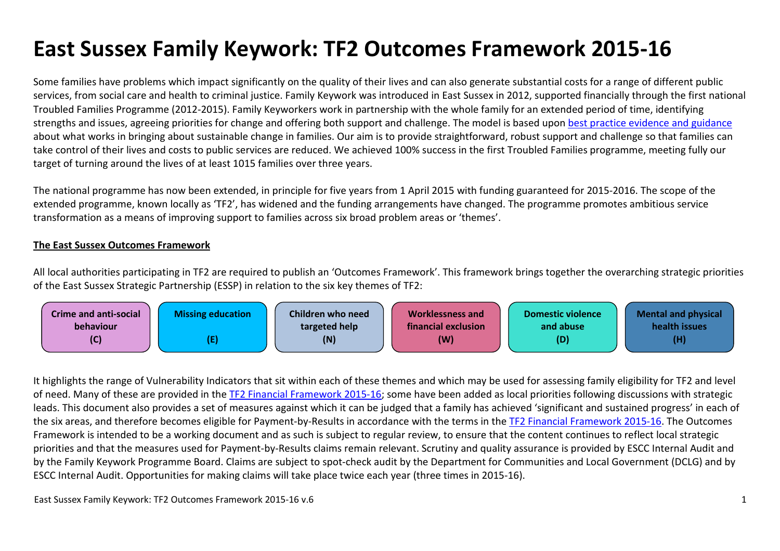# **East Sussex Family Keywork: TF2 Outcomes Framework 2015-16**

Some families have problems which impact significantly on the quality of their lives and can also generate substantial costs for a range of different public services, from social care and health to criminal justice. Family Keywork was introduced in East Sussex in 2012, supported financially through the first national Troubled Families Programme (2012-2015). Family Keyworkers work in partnership with the whole family for an extended period of time, identifying strengths and issues, agreeing priorities for change and offering both support and challenge. The model is based upon best practice evidence and guidance about what works in bringing about sustainable change in families. Our aim is to provide straightforward, robust support and challenge so that families can take control of their lives and costs to public services are reduced. We achieved 100% success in the first Troubled Families programme, meeting fully our target of turning around the lives of at least 1015 families over three years.

The national programme has now been extended, in principle for five years from 1 April 2015 with funding guaranteed for 2015-2016. The scope of the extended programme, known locally as 'TF2', has widened and the funding arrangements have changed. The programme promotes ambitious service transformation as a means of improving support to families across six broad problem areas or 'themes'.

#### **The East Sussex Outcomes Framework**

All local authorities participating in TF2 are required to publish an 'Outcomes Framework'. This framework brings together the overarching strategic priorities of the East Sussex Strategic Partnership (ESSP) in relation to the six key themes of TF2:



It highlights the range of Vulnerability Indicators that sit within each of these themes and which may be used for assessing family eligibility for TF2 and level of need. Many of these are provided in the TF2 Financial Framework 2015-16; some have been added as local priorities following discussions with strategic leads. This document also provides a set of measures against which it can be judged that a family has achieved 'significant and sustained progress' in each of the six areas, and therefore becomes eligible for Payment-by-Results in accordance with the terms in the TF2 Financial Framework 2015-16. The Outcomes Framework is intended to be a working document and as such is subject to regular review, to ensure that the content continues to reflect local strategic priorities and that the measures used for Payment-by-Results claims remain relevant. Scrutiny and quality assurance is provided by ESCC Internal Audit and by the Family Keywork Programme Board. Claims are subject to spot-check audit by the Department for Communities and Local Government (DCLG) and by ESCC Internal Audit. Opportunities for making claims will take place twice each year (three times in 2015-16).

East Sussex Family Keywork: TF2 Outcomes Framework 2015-16 v.6 1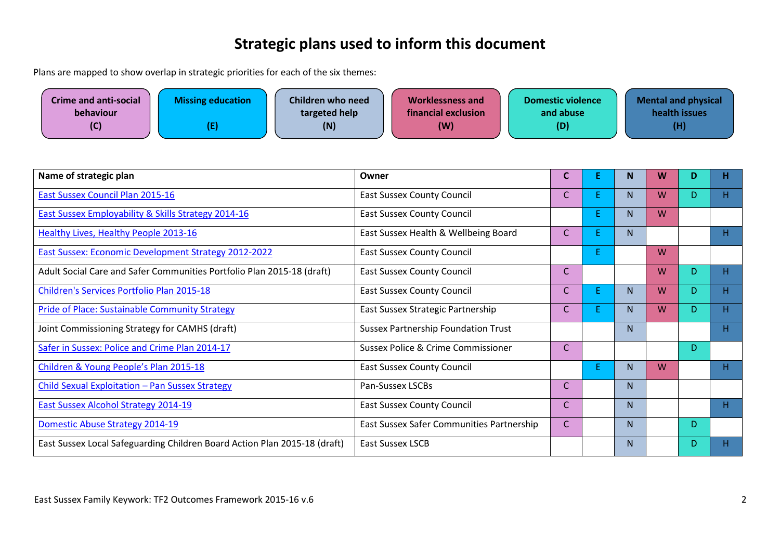### **Strategic plans used to inform this document**

Plans are mapped to show overlap in strategic priorities for each of the six themes:

| <b>Crime and anti-social</b><br>behaviour | <b>Missing education</b> | Children who need<br>targeted help | <b>Worklessness and</b><br>financial exclusion | <b>Domestic violence</b><br>and abuse | <b>Mental and physical</b><br>health issues |
|-------------------------------------------|--------------------------|------------------------------------|------------------------------------------------|---------------------------------------|---------------------------------------------|
| (C)                                       |                          | (N)                                | (W)                                            | (D)                                   | (H)                                         |

| Name of strategic plan                                                    | Owner                                         | C            | E. | $\mathbf N$ | W | D | Η, |
|---------------------------------------------------------------------------|-----------------------------------------------|--------------|----|-------------|---|---|----|
| <b>East Sussex Council Plan 2015-16</b>                                   | <b>East Sussex County Council</b>             | $\mathsf{C}$ | E. | N.          | W | D | H. |
| <b>East Sussex Employability &amp; Skills Strategy 2014-16</b>            | <b>East Sussex County Council</b>             |              | E. | N.          | W |   |    |
| <b>Healthy Lives, Healthy People 2013-16</b>                              | East Sussex Health & Wellbeing Board          | $\mathsf{C}$ | E. | N           |   |   | н. |
| <b>East Sussex: Economic Development Strategy 2012-2022</b>               | <b>East Sussex County Council</b>             |              | E. |             | W |   |    |
| Adult Social Care and Safer Communities Portfolio Plan 2015-18 (draft)    | <b>East Sussex County Council</b>             | $\mathsf{C}$ |    |             | W | D | Η. |
| Children's Services Portfolio Plan 2015-18                                | <b>East Sussex County Council</b>             | $\mathsf{C}$ | E. | N.          | W | D | Н. |
| <b>Pride of Place: Sustainable Community Strategy</b>                     | East Sussex Strategic Partnership             | C            | E. | N.          | W | D | н. |
| Joint Commissioning Strategy for CAMHS (draft)                            | <b>Sussex Partnership Foundation Trust</b>    |              |    | N           |   |   | Η. |
| Safer in Sussex: Police and Crime Plan 2014-17                            | <b>Sussex Police &amp; Crime Commissioner</b> | $\mathsf{C}$ |    |             |   | D |    |
| Children & Young People's Plan 2015-18                                    | <b>East Sussex County Council</b>             |              | E. | N.          | W |   | H  |
| Child Sexual Exploitation - Pan Sussex Strategy                           | Pan-Sussex LSCBs                              | $\mathsf{C}$ |    | N           |   |   |    |
| <b>East Sussex Alcohol Strategy 2014-19</b>                               | <b>East Sussex County Council</b>             | $\mathsf{C}$ |    | N.          |   |   | H  |
| Domestic Abuse Strategy 2014-19                                           | East Sussex Safer Communities Partnership     | $\mathsf{C}$ |    | N.          |   | D |    |
| East Sussex Local Safeguarding Children Board Action Plan 2015-18 (draft) | <b>East Sussex LSCB</b>                       |              |    | N.          |   | D | Н. |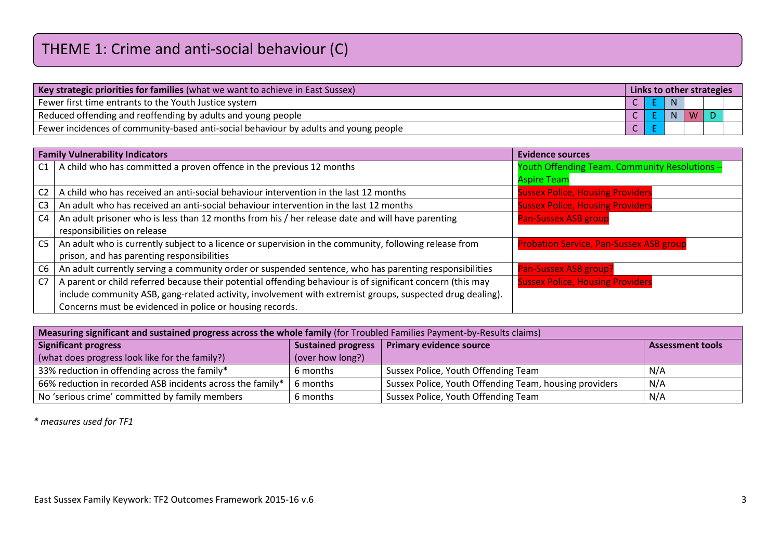| Key strategic priorities for families (what we want to achieve in East Sussex)       |  |  | Links to other strategies |   |  |  |  |  |
|--------------------------------------------------------------------------------------|--|--|---------------------------|---|--|--|--|--|
| Fewer first time entrants to the Youth Justice system                                |  |  | N                         |   |  |  |  |  |
| Reduced offending and reoffending by adults and young people                         |  |  |                           | W |  |  |  |  |
| Fewer incidences of community-based anti-social behaviour by adults and young people |  |  |                           |   |  |  |  |  |

|                | <b>Family Vulnerability Indicators</b>                                                                     | <b>Evidence sources</b>                        |
|----------------|------------------------------------------------------------------------------------------------------------|------------------------------------------------|
| C1             | A child who has committed a proven offence in the previous 12 months                                       | Youth Offending Team. Community Resolutions -  |
|                |                                                                                                            | <b>Aspire Team</b>                             |
| C2             | A child who has received an anti-social behaviour intervention in the last 12 months                       | <b>Sussex Police, Housing Providers</b>        |
| C3             | An adult who has received an anti-social behaviour intervention in the last 12 months                      | <b>Sussex Police, Housing Providers</b>        |
| C4             | An adult prisoner who is less than 12 months from his / her release date and will have parenting           | <b>Pan-Sussex ASB group</b>                    |
|                | responsibilities on release                                                                                |                                                |
| C <sub>5</sub> | An adult who is currently subject to a licence or supervision in the community, following release from     | <b>Probation Service, Pan-Sussex ASB group</b> |
|                | prison, and has parenting responsibilities                                                                 |                                                |
| C6             | An adult currently serving a community order or suspended sentence, who has parenting responsibilities     | Pan-Sussex ASB group?                          |
| C7             | A parent or child referred because their potential offending behaviour is of significant concern (this may | <b>Sussex Police, Housing Providers</b>        |
|                | include community ASB, gang-related activity, involvement with extremist groups, suspected drug dealing).  |                                                |
|                | Concerns must be evidenced in police or housing records.                                                   |                                                |

| Measuring significant and sustained progress across the whole family (for Troubled Families Payment-by-Results claims) |                           |                                                        |                         |  |  |  |  |  |  |  |
|------------------------------------------------------------------------------------------------------------------------|---------------------------|--------------------------------------------------------|-------------------------|--|--|--|--|--|--|--|
| <b>Significant progress</b>                                                                                            | <b>Sustained progress</b> | Primary evidence source                                | <b>Assessment tools</b> |  |  |  |  |  |  |  |
| (what does progress look like for the family?)                                                                         | (over how long?)          |                                                        |                         |  |  |  |  |  |  |  |
| 33% reduction in offending across the family*                                                                          | 6 months                  | Sussex Police, Youth Offending Team                    | N/A                     |  |  |  |  |  |  |  |
| 66% reduction in recorded ASB incidents across the family*                                                             | 6 months                  | Sussex Police, Youth Offending Team, housing providers | N/A                     |  |  |  |  |  |  |  |
| No 'serious crime' committed by family members                                                                         | 6 months                  | Sussex Police, Youth Offending Team                    | N/A                     |  |  |  |  |  |  |  |

*\* measures used for TF1*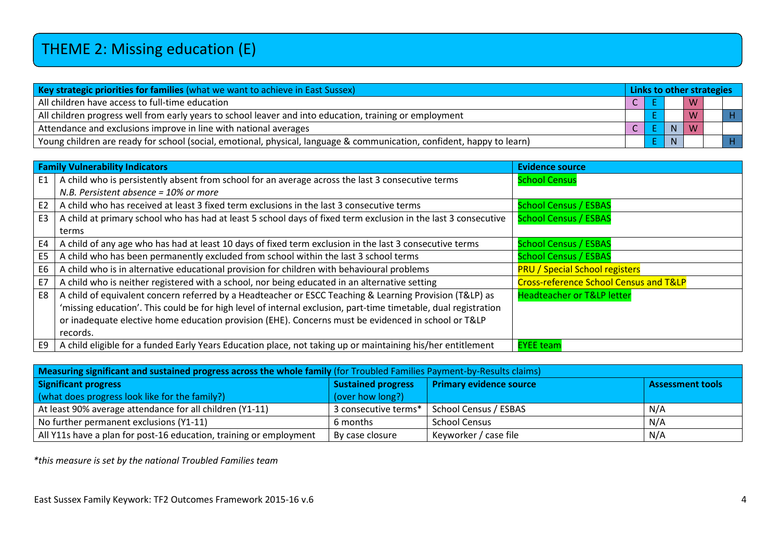| Key strategic priorities for families (what we want to achieve in East Sussex)                                         |  |  | Links to other strategies |   |  |  |  |  |
|------------------------------------------------------------------------------------------------------------------------|--|--|---------------------------|---|--|--|--|--|
| All children have access to full-time education                                                                        |  |  |                           | W |  |  |  |  |
| All children progress well from early years to school leaver and into education, training or employment                |  |  |                           |   |  |  |  |  |
| Attendance and exclusions improve in line with national averages                                                       |  |  |                           | W |  |  |  |  |
| Young children are ready for school (social, emotional, physical, language & communication, confident, happy to learn) |  |  | N                         |   |  |  |  |  |

|                | <b>Family Vulnerability Indicators</b>                                                                          | <b>Evidence source</b>                            |
|----------------|-----------------------------------------------------------------------------------------------------------------|---------------------------------------------------|
| E1             | A child who is persistently absent from school for an average across the last 3 consecutive terms               | <b>School Census</b>                              |
|                | N.B. Persistent absence = 10% or more                                                                           |                                                   |
| E <sub>2</sub> | A child who has received at least 3 fixed term exclusions in the last 3 consecutive terms                       | <b>School Census / ESBAS</b>                      |
| E <sub>3</sub> | A child at primary school who has had at least 5 school days of fixed term exclusion in the last 3 consecutive  | <b>School Census / ESBAS</b>                      |
|                | terms                                                                                                           |                                                   |
| E4             | A child of any age who has had at least 10 days of fixed term exclusion in the last 3 consecutive terms         | <b>School Census / ESBAS</b>                      |
| E <sub>5</sub> | A child who has been permanently excluded from school within the last 3 school terms                            | <b>School Census / ESBAS</b>                      |
| E <sub>6</sub> | A child who is in alternative educational provision for children with behavioural problems                      | <b>PRU / Special School registers</b>             |
| E7             | A child who is neither registered with a school, nor being educated in an alternative setting                   | <b>Cross-reference School Census and T&amp;LP</b> |
| E8             | A child of equivalent concern referred by a Headteacher or ESCC Teaching & Learning Provision (T&LP) as         | <b>Headteacher or T&amp;LP letter</b>             |
|                | 'missing education'. This could be for high level of internal exclusion, part-time timetable, dual registration |                                                   |
|                | or inadequate elective home education provision (EHE). Concerns must be evidenced in school or T&LP             |                                                   |
|                | records.                                                                                                        |                                                   |
| E9             | A child eligible for a funded Early Years Education place, not taking up or maintaining his/her entitlement     | <b>EYEE team</b>                                  |

| Measuring significant and sustained progress across the whole family (for Troubled Families Payment-by-Results claims) |                           |                                |                         |  |  |  |  |  |  |
|------------------------------------------------------------------------------------------------------------------------|---------------------------|--------------------------------|-------------------------|--|--|--|--|--|--|
| <b>Significant progress</b>                                                                                            | <b>Sustained progress</b> | <b>Primary evidence source</b> | <b>Assessment tools</b> |  |  |  |  |  |  |
| (what does progress look like for the family?)                                                                         | (over how long?)          |                                |                         |  |  |  |  |  |  |
| At least 90% average attendance for all children (Y1-11)                                                               | 3 consecutive terms*      | School Census / ESBAS          | N/A                     |  |  |  |  |  |  |
| No further permanent exclusions (Y1-11)                                                                                | 6 months                  | <b>School Census</b>           | N/A                     |  |  |  |  |  |  |
| All Y11s have a plan for post-16 education, training or employment                                                     | By case closure           | Keyworker / case file          | N/A                     |  |  |  |  |  |  |

*\*this measure is set by the national Troubled Families team*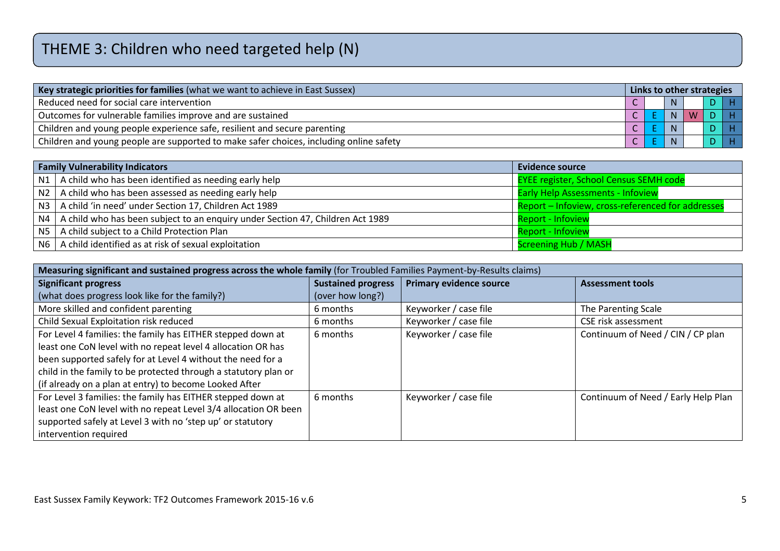# THEME 3: Children who need targeted help (N)

| Key strategic priorities for families (what we want to achieve in East Sussex)         |  |  |   | Links to other strategies |                |
|----------------------------------------------------------------------------------------|--|--|---|---------------------------|----------------|
| Reduced need for social care intervention                                              |  |  |   |                           | H <sub>1</sub> |
| Outcomes for vulnerable families improve and are sustained                             |  |  | N | W                         | 1 H I          |
| Children and young people experience safe, resilient and secure parenting              |  |  |   |                           | $D$ $H$        |
| Children and young people are supported to make safer choices, including online safety |  |  |   |                           | $D$ $H$        |

|                 | <b>Family Vulnerability Indicators</b>                                         | <b>Evidence source</b>                            |
|-----------------|--------------------------------------------------------------------------------|---------------------------------------------------|
| N1              | A child who has been identified as needing early help                          | <b>EYEE register, School Census SEMH code</b>     |
| N2              | A child who has been assessed as needing early help                            | <b>Early Help Assessments - Infoview</b>          |
| N3 <sub>1</sub> | A child 'in need' under Section 17, Children Act 1989                          | Report - Infoview, cross-referenced for addresses |
| N4              | A child who has been subject to an enquiry under Section 47, Children Act 1989 | <b>Report - Infoview</b>                          |
| <b>N5</b>       | A child subject to a Child Protection Plan                                     | <b>Report - Infoview</b>                          |
| N6              | A child identified as at risk of sexual exploitation                           | <b>Screening Hub / MASH</b>                       |

| Measuring significant and sustained progress across the whole family (for Troubled Families Payment-by-Results claims) |                           |                                |                                     |  |  |  |  |  |  |
|------------------------------------------------------------------------------------------------------------------------|---------------------------|--------------------------------|-------------------------------------|--|--|--|--|--|--|
| <b>Significant progress</b>                                                                                            | <b>Sustained progress</b> | <b>Primary evidence source</b> | <b>Assessment tools</b>             |  |  |  |  |  |  |
| (what does progress look like for the family?)                                                                         | (over how long?)          |                                |                                     |  |  |  |  |  |  |
| More skilled and confident parenting                                                                                   | 6 months                  | Keyworker / case file          | The Parenting Scale                 |  |  |  |  |  |  |
| Child Sexual Exploitation risk reduced                                                                                 | 6 months                  | Keyworker / case file          | <b>CSE risk assessment</b>          |  |  |  |  |  |  |
| For Level 4 families: the family has EITHER stepped down at                                                            | 6 months                  | Keyworker / case file          | Continuum of Need / CIN / CP plan   |  |  |  |  |  |  |
| least one CoN level with no repeat level 4 allocation OR has                                                           |                           |                                |                                     |  |  |  |  |  |  |
| been supported safely for at Level 4 without the need for a                                                            |                           |                                |                                     |  |  |  |  |  |  |
| child in the family to be protected through a statutory plan or                                                        |                           |                                |                                     |  |  |  |  |  |  |
| (if already on a plan at entry) to become Looked After                                                                 |                           |                                |                                     |  |  |  |  |  |  |
| For Level 3 families: the family has EITHER stepped down at                                                            | 6 months                  | Keyworker / case file          | Continuum of Need / Early Help Plan |  |  |  |  |  |  |
| least one CoN level with no repeat Level 3/4 allocation OR been                                                        |                           |                                |                                     |  |  |  |  |  |  |
| supported safely at Level 3 with no 'step up' or statutory                                                             |                           |                                |                                     |  |  |  |  |  |  |
| intervention required                                                                                                  |                           |                                |                                     |  |  |  |  |  |  |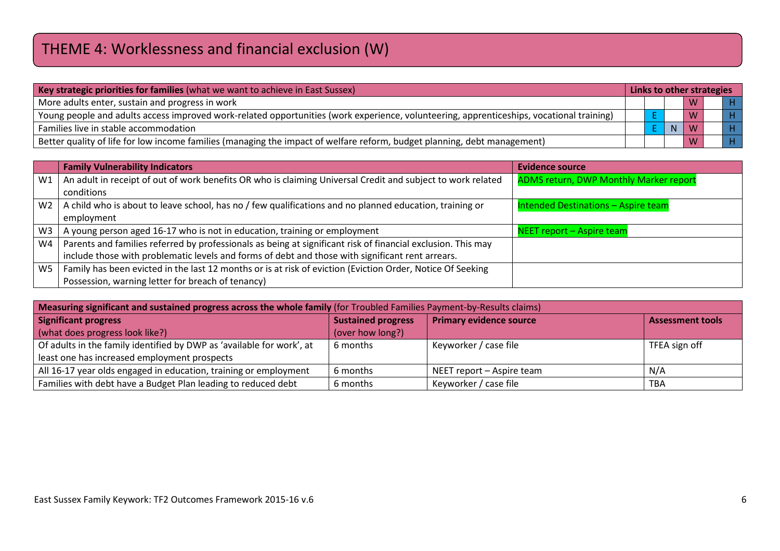# THEME 4: Worklessness and financial exclusion (W)

|  |             | W |                           |
|--|-------------|---|---------------------------|
|  |             | M | H <sub>1</sub>            |
|  | $\mathbf N$ |   | H <sub>1</sub>            |
|  |             | M | H <sub>1</sub>            |
|  |             |   | Links to other strategies |

|                | <b>Family Vulnerability Indicators</b>                                                                       | <b>Evidence source</b>                        |
|----------------|--------------------------------------------------------------------------------------------------------------|-----------------------------------------------|
| W1             | An adult in receipt of out of work benefits OR who is claiming Universal Credit and subject to work related  | <b>ADMS return, DWP Monthly Marker report</b> |
|                | conditions                                                                                                   |                                               |
| W <sub>2</sub> | A child who is about to leave school, has no / few qualifications and no planned education, training or      | Intended Destinations - Aspire team           |
|                | employment                                                                                                   |                                               |
| W <sub>3</sub> | A young person aged 16-17 who is not in education, training or employment                                    | NEET report – Aspire team                     |
| W <sub>4</sub> | Parents and families referred by professionals as being at significant risk of financial exclusion. This may |                                               |
|                | include those with problematic levels and forms of debt and those with significant rent arrears.             |                                               |
| W <sub>5</sub> | Family has been evicted in the last 12 months or is at risk of eviction (Eviction Order, Notice Of Seeking   |                                               |
|                | Possession, warning letter for breach of tenancy)                                                            |                                               |

| Measuring significant and sustained progress across the whole family (for Troubled Families Payment-by-Results claims)      |                           |                                |                         |  |  |
|-----------------------------------------------------------------------------------------------------------------------------|---------------------------|--------------------------------|-------------------------|--|--|
| Significant progress                                                                                                        | <b>Sustained progress</b> | <b>Primary evidence source</b> | <b>Assessment tools</b> |  |  |
| (what does progress look like?)                                                                                             | (over how long?)          |                                |                         |  |  |
| Of adults in the family identified by DWP as 'available for work', at<br>6 months<br>Keyworker / case file<br>TFEA sign off |                           |                                |                         |  |  |
| least one has increased employment prospects                                                                                |                           |                                |                         |  |  |
| All 16-17 year olds engaged in education, training or employment<br>6 months<br>N/A<br>NEET report - Aspire team            |                           |                                |                         |  |  |
| Families with debt have a Budget Plan leading to reduced debt<br>6 months<br>Keyworker / case file<br><b>TBA</b>            |                           |                                |                         |  |  |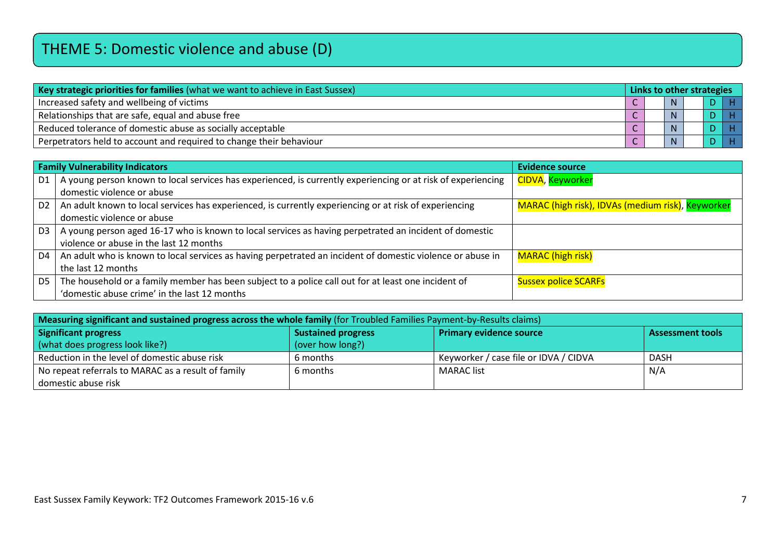## THEME 5: Domestic violence and abuse (D)

| Key strategic priorities for families (what we want to achieve in East Sussex) |  | Links to other strategies |              |  |  |  |
|--------------------------------------------------------------------------------|--|---------------------------|--------------|--|--|--|
| Increased safety and wellbeing of victims                                      |  |                           | $\mathbf{M}$ |  |  |  |
| Relationships that are safe, equal and abuse free                              |  |                           |              |  |  |  |
| Reduced tolerance of domestic abuse as socially acceptable                     |  |                           |              |  |  |  |
| Perpetrators held to account and required to change their behaviour            |  |                           |              |  |  |  |

|                | <b>Family Vulnerability Indicators</b>                                                                       | <b>Evidence source</b>                            |  |  |  |
|----------------|--------------------------------------------------------------------------------------------------------------|---------------------------------------------------|--|--|--|
| D <sub>1</sub> | A young person known to local services has experienced, is currently experiencing or at risk of experiencing | CIDVA, Keyworker                                  |  |  |  |
|                | domestic violence or abuse                                                                                   |                                                   |  |  |  |
| D <sub>2</sub> | An adult known to local services has experienced, is currently experiencing or at risk of experiencing       | MARAC (high risk), IDVAs (medium risk), Keyworker |  |  |  |
|                | domestic violence or abuse                                                                                   |                                                   |  |  |  |
| D <sub>3</sub> | A young person aged 16-17 who is known to local services as having perpetrated an incident of domestic       |                                                   |  |  |  |
|                | violence or abuse in the last 12 months                                                                      |                                                   |  |  |  |
| D4             | An adult who is known to local services as having perpetrated an incident of domestic violence or abuse in   | <b>MARAC</b> (high risk)                          |  |  |  |
|                | the last 12 months                                                                                           |                                                   |  |  |  |
| D5             | The household or a family member has been subject to a police call out for at least one incident of          | <b>Sussex police SCARFs</b>                       |  |  |  |
|                | 'domestic abuse crime' in the last 12 months                                                                 |                                                   |  |  |  |

| Measuring significant and sustained progress across the whole family (for Troubled Families Payment-by-Results claims) |                           |                                       |                         |  |  |
|------------------------------------------------------------------------------------------------------------------------|---------------------------|---------------------------------------|-------------------------|--|--|
| Significant progress                                                                                                   | <b>Sustained progress</b> | <b>Primary evidence source</b>        | <b>Assessment tools</b> |  |  |
| (what does progress look like?)                                                                                        | (over how long?)          |                                       |                         |  |  |
| Reduction in the level of domestic abuse risk                                                                          | 6 months                  | Keyworker / case file or IDVA / CIDVA | DASH                    |  |  |
| No repeat referrals to MARAC as a result of family                                                                     | 6 months                  | MARAC list                            | N/A                     |  |  |
| domestic abuse risk                                                                                                    |                           |                                       |                         |  |  |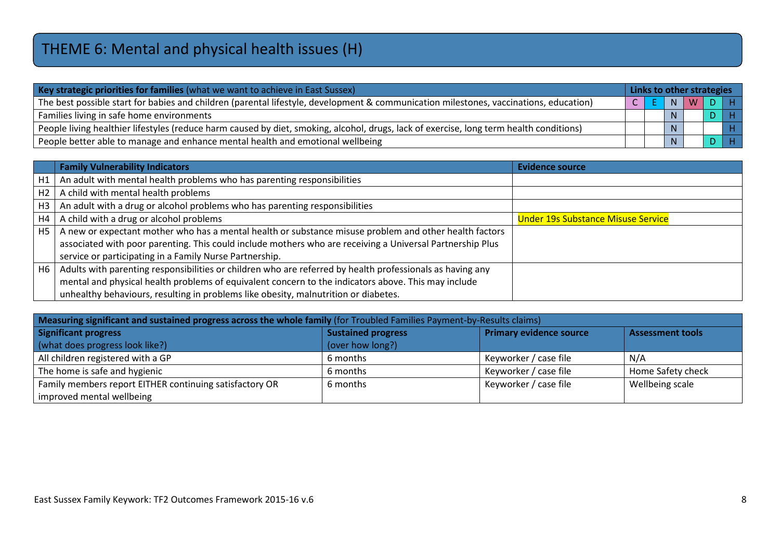# THEME 6: Mental and physical health issues (H)

| Key strategic priorities for families (what we want to achieve in East Sussex)                                                          |  |  | Links to other strategies |   |  |                |  |
|-----------------------------------------------------------------------------------------------------------------------------------------|--|--|---------------------------|---|--|----------------|--|
| The best possible start for babies and children (parental lifestyle, development & communication milestones, vaccinations, education)   |  |  | N                         | W |  | I H I          |  |
| Families living in safe home environments                                                                                               |  |  | N.                        |   |  | H <sub>1</sub> |  |
| People living healthier lifestyles (reduce harm caused by diet, smoking, alcohol, drugs, lack of exercise, long term health conditions) |  |  | N.                        |   |  | $H^+$          |  |
| People better able to manage and enhance mental health and emotional wellbeing                                                          |  |  | N.                        |   |  | H <sub>1</sub> |  |

|                | <b>Family Vulnerability Indicators</b>                                                                    | <b>Evidence source</b>                    |
|----------------|-----------------------------------------------------------------------------------------------------------|-------------------------------------------|
| H1             | An adult with mental health problems who has parenting responsibilities                                   |                                           |
| H2             | A child with mental health problems                                                                       |                                           |
| H <sub>3</sub> | An adult with a drug or alcohol problems who has parenting responsibilities                               |                                           |
| H4             | A child with a drug or alcohol problems                                                                   | <b>Under 19s Substance Misuse Service</b> |
| H <sub>5</sub> | A new or expectant mother who has a mental health or substance misuse problem and other health factors    |                                           |
|                | associated with poor parenting. This could include mothers who are receiving a Universal Partnership Plus |                                           |
|                | service or participating in a Family Nurse Partnership.                                                   |                                           |
| H6             | Adults with parenting responsibilities or children who are referred by health professionals as having any |                                           |
|                | mental and physical health problems of equivalent concern to the indicators above. This may include       |                                           |
|                | unhealthy behaviours, resulting in problems like obesity, malnutrition or diabetes.                       |                                           |

| Measuring significant and sustained progress across the whole family (for Troubled Families Payment-by-Results claims) |                           |                         |                         |  |  |  |
|------------------------------------------------------------------------------------------------------------------------|---------------------------|-------------------------|-------------------------|--|--|--|
| <b>Significant progress</b>                                                                                            | <b>Sustained progress</b> | Primary evidence source | <b>Assessment tools</b> |  |  |  |
| (what does progress look like?)                                                                                        | (over how long?)          |                         |                         |  |  |  |
| All children registered with a GP                                                                                      | 6 months                  | Keyworker / case file   | N/A                     |  |  |  |
| The home is safe and hygienic                                                                                          | 6 months                  | Keyworker / case file   | Home Safety check       |  |  |  |
| Family members report EITHER continuing satisfactory OR                                                                | 6 months                  | Keyworker / case file   | Wellbeing scale         |  |  |  |
| improved mental wellbeing                                                                                              |                           |                         |                         |  |  |  |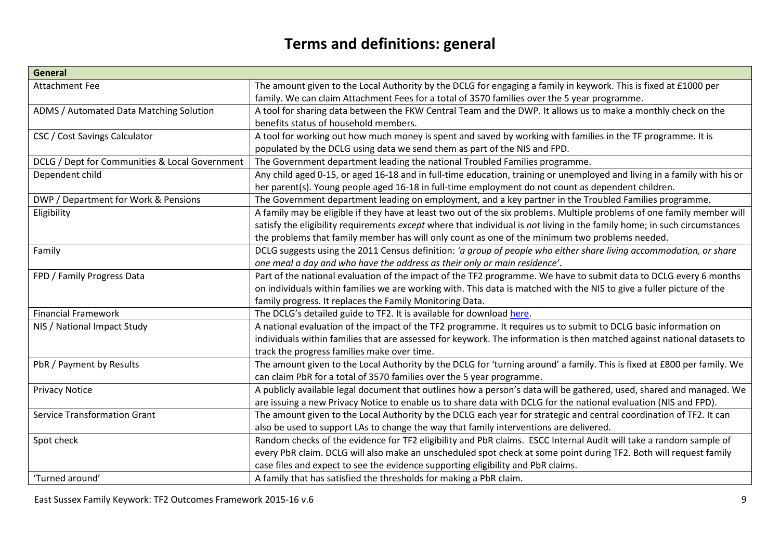#### **Terms and definitions: general**

| <b>General</b>                                 |                                                                                                                           |
|------------------------------------------------|---------------------------------------------------------------------------------------------------------------------------|
| <b>Attachment Fee</b>                          | The amount given to the Local Authority by the DCLG for engaging a family in keywork. This is fixed at £1000 per          |
|                                                | family. We can claim Attachment Fees for a total of 3570 families over the 5 year programme.                              |
| ADMS / Automated Data Matching Solution        | A tool for sharing data between the FKW Central Team and the DWP. It allows us to make a monthly check on the             |
|                                                | benefits status of household members.                                                                                     |
| CSC / Cost Savings Calculator                  | A tool for working out how much money is spent and saved by working with families in the TF programme. It is              |
|                                                | populated by the DCLG using data we send them as part of the NIS and FPD.                                                 |
| DCLG / Dept for Communities & Local Government | The Government department leading the national Troubled Families programme.                                               |
| Dependent child                                | Any child aged 0-15, or aged 16-18 and in full-time education, training or unemployed and living in a family with his or  |
|                                                | her parent(s). Young people aged 16-18 in full-time employment do not count as dependent children.                        |
| DWP / Department for Work & Pensions           | The Government department leading on employment, and a key partner in the Troubled Families programme.                    |
| Eligibility                                    | A family may be eligible if they have at least two out of the six problems. Multiple problems of one family member will   |
|                                                | satisfy the eligibility requirements except where that individual is not living in the family home; in such circumstances |
|                                                | the problems that family member has will only count as one of the minimum two problems needed.                            |
| Family                                         | DCLG suggests using the 2011 Census definition: 'a group of people who either share living accommodation, or share        |
|                                                | one meal a day and who have the address as their only or main residence'.                                                 |
| FPD / Family Progress Data                     | Part of the national evaluation of the impact of the TF2 programme. We have to submit data to DCLG every 6 months         |
|                                                | on individuals within families we are working with. This data is matched with the NIS to give a fuller picture of the     |
|                                                | family progress. It replaces the Family Monitoring Data.                                                                  |
| <b>Financial Framework</b>                     | The DCLG's detailed guide to TF2. It is available for download here.                                                      |
| NIS / National Impact Study                    | A national evaluation of the impact of the TF2 programme. It requires us to submit to DCLG basic information on           |
|                                                | individuals within families that are assessed for keywork. The information is then matched against national datasets to   |
|                                                | track the progress families make over time.                                                                               |
| PbR / Payment by Results                       | The amount given to the Local Authority by the DCLG for 'turning around' a family. This is fixed at £800 per family. We   |
|                                                | can claim PbR for a total of 3570 families over the 5 year programme.                                                     |
| <b>Privacy Notice</b>                          | A publicly available legal document that outlines how a person's data will be gathered, used, shared and managed. We      |
|                                                | are issuing a new Privacy Notice to enable us to share data with DCLG for the national evaluation (NIS and FPD).          |
| <b>Service Transformation Grant</b>            | The amount given to the Local Authority by the DCLG each year for strategic and central coordination of TF2. It can       |
|                                                | also be used to support LAs to change the way that family interventions are delivered.                                    |
| Spot check                                     | Random checks of the evidence for TF2 eligibility and PbR claims. ESCC Internal Audit will take a random sample of        |
|                                                | every PbR claim. DCLG will also make an unscheduled spot check at some point during TF2. Both will request family         |
|                                                | case files and expect to see the evidence supporting eligibility and PbR claims.                                          |
| 'Turned around'                                | A family that has satisfied the thresholds for making a PbR claim.                                                        |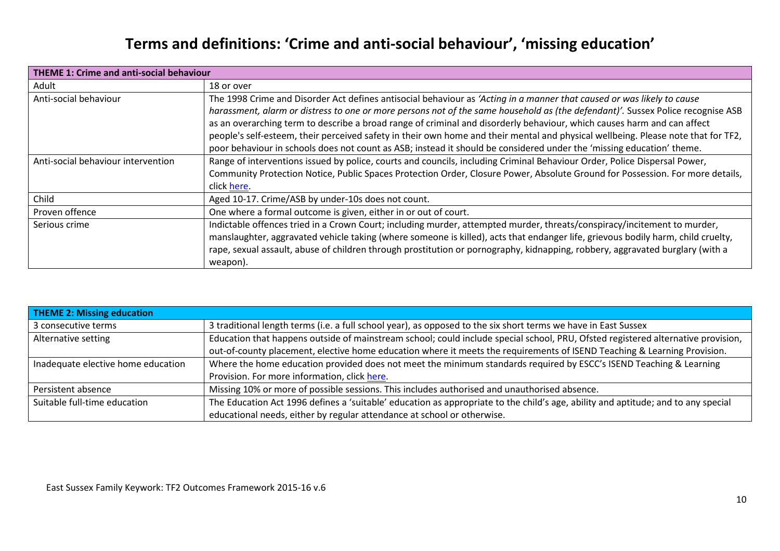#### **Terms and definitions: 'Crime and anti-social behaviour', 'missing education'**

| <b>THEME 1: Crime and anti-social behaviour</b>                                                                                                                                                                                                                                                                                                                                                                                                                                                                                                                                                                                                                             |                                                                                                                                                                                                                                                                                                                                                                                                           |  |  |  |
|-----------------------------------------------------------------------------------------------------------------------------------------------------------------------------------------------------------------------------------------------------------------------------------------------------------------------------------------------------------------------------------------------------------------------------------------------------------------------------------------------------------------------------------------------------------------------------------------------------------------------------------------------------------------------------|-----------------------------------------------------------------------------------------------------------------------------------------------------------------------------------------------------------------------------------------------------------------------------------------------------------------------------------------------------------------------------------------------------------|--|--|--|
| Adult                                                                                                                                                                                                                                                                                                                                                                                                                                                                                                                                                                                                                                                                       | 18 or over                                                                                                                                                                                                                                                                                                                                                                                                |  |  |  |
| The 1998 Crime and Disorder Act defines antisocial behaviour as 'Acting in a manner that caused or was likely to cause<br>Anti-social behaviour<br>harassment, alarm or distress to one or more persons not of the same household as (the defendant)'. Sussex Police recognise ASB<br>as an overarching term to describe a broad range of criminal and disorderly behaviour, which causes harm and can affect<br>people's self-esteem, their perceived safety in their own home and their mental and physical wellbeing. Please note that for TF2,<br>poor behaviour in schools does not count as ASB; instead it should be considered under the 'missing education' theme. |                                                                                                                                                                                                                                                                                                                                                                                                           |  |  |  |
| Anti-social behaviour intervention                                                                                                                                                                                                                                                                                                                                                                                                                                                                                                                                                                                                                                          | Range of interventions issued by police, courts and councils, including Criminal Behaviour Order, Police Dispersal Power,<br>Community Protection Notice, Public Spaces Protection Order, Closure Power, Absolute Ground for Possession. For more details,<br>click here.                                                                                                                                 |  |  |  |
| Child                                                                                                                                                                                                                                                                                                                                                                                                                                                                                                                                                                                                                                                                       | Aged 10-17. Crime/ASB by under-10s does not count.                                                                                                                                                                                                                                                                                                                                                        |  |  |  |
| Proven offence                                                                                                                                                                                                                                                                                                                                                                                                                                                                                                                                                                                                                                                              | One where a formal outcome is given, either in or out of court.                                                                                                                                                                                                                                                                                                                                           |  |  |  |
| Serious crime                                                                                                                                                                                                                                                                                                                                                                                                                                                                                                                                                                                                                                                               | Indictable offences tried in a Crown Court; including murder, attempted murder, threats/conspiracy/incitement to murder,<br>manslaughter, aggravated vehicle taking (where someone is killed), acts that endanger life, grievous bodily harm, child cruelty,<br>rape, sexual assault, abuse of children through prostitution or pornography, kidnapping, robbery, aggravated burglary (with a<br>weapon). |  |  |  |

| <b>THEME 2: Missing education</b>                                                                                                                                 |                                                                                                                                  |  |  |  |
|-------------------------------------------------------------------------------------------------------------------------------------------------------------------|----------------------------------------------------------------------------------------------------------------------------------|--|--|--|
| 3 consecutive terms                                                                                                                                               | 3 traditional length terms (i.e. a full school year), as opposed to the six short terms we have in East Sussex                   |  |  |  |
| Alternative setting                                                                                                                                               | Education that happens outside of mainstream school; could include special school, PRU, Ofsted registered alternative provision, |  |  |  |
|                                                                                                                                                                   | out-of-county placement, elective home education where it meets the requirements of ISEND Teaching & Learning Provision.         |  |  |  |
| Inadequate elective home education                                                                                                                                | Where the home education provided does not meet the minimum standards required by ESCC's ISEND Teaching & Learning               |  |  |  |
|                                                                                                                                                                   | Provision. For more information, click here.                                                                                     |  |  |  |
| Persistent absence                                                                                                                                                | Missing 10% or more of possible sessions. This includes authorised and unauthorised absence.                                     |  |  |  |
| The Education Act 1996 defines a 'suitable' education as appropriate to the child's age, ability and aptitude; and to any special<br>Suitable full-time education |                                                                                                                                  |  |  |  |
|                                                                                                                                                                   | educational needs, either by regular attendance at school or otherwise.                                                          |  |  |  |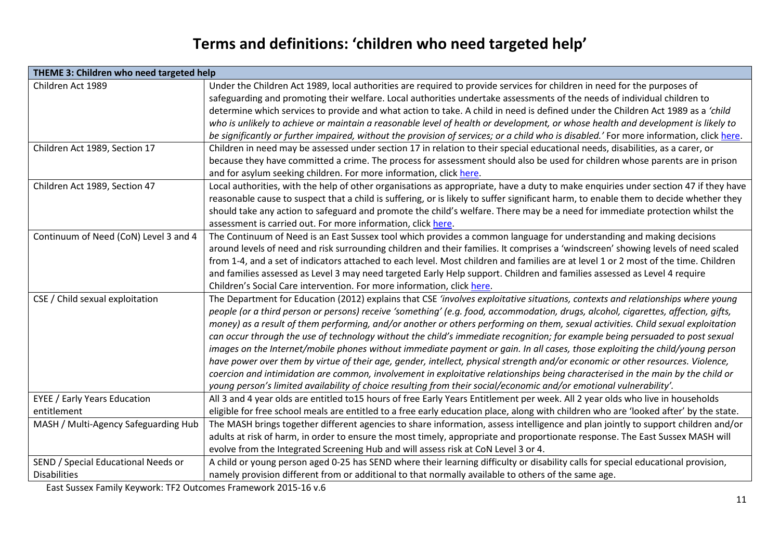### **Terms and definitions: 'children who need targeted help'**

| THEME 3: Children who need targeted help |                                                                                                                                         |  |  |  |
|------------------------------------------|-----------------------------------------------------------------------------------------------------------------------------------------|--|--|--|
| Children Act 1989                        | Under the Children Act 1989, local authorities are required to provide services for children in need for the purposes of                |  |  |  |
|                                          | safeguarding and promoting their welfare. Local authorities undertake assessments of the needs of individual children to                |  |  |  |
|                                          | determine which services to provide and what action to take. A child in need is defined under the Children Act 1989 as a 'child         |  |  |  |
|                                          | who is unlikely to achieve or maintain a reasonable level of health or development, or whose health and development is likely to        |  |  |  |
|                                          | be significantly or further impaired, without the provision of services; or a child who is disabled.' For more information, click here. |  |  |  |
| Children Act 1989, Section 17            | Children in need may be assessed under section 17 in relation to their special educational needs, disabilities, as a carer, or          |  |  |  |
|                                          | because they have committed a crime. The process for assessment should also be used for children whose parents are in prison            |  |  |  |
|                                          | and for asylum seeking children. For more information, click here.                                                                      |  |  |  |
| Children Act 1989, Section 47            | Local authorities, with the help of other organisations as appropriate, have a duty to make enquiries under section 47 if they have     |  |  |  |
|                                          | reasonable cause to suspect that a child is suffering, or is likely to suffer significant harm, to enable them to decide whether they   |  |  |  |
|                                          | should take any action to safeguard and promote the child's welfare. There may be a need for immediate protection whilst the            |  |  |  |
|                                          | assessment is carried out. For more information, click here.                                                                            |  |  |  |
| Continuum of Need (CoN) Level 3 and 4    | The Continuum of Need is an East Sussex tool which provides a common language for understanding and making decisions                    |  |  |  |
|                                          | around levels of need and risk surrounding children and their families. It comprises a 'windscreen' showing levels of need scaled       |  |  |  |
|                                          | from 1-4, and a set of indicators attached to each level. Most children and families are at level 1 or 2 most of the time. Children     |  |  |  |
|                                          | and families assessed as Level 3 may need targeted Early Help support. Children and families assessed as Level 4 require                |  |  |  |
|                                          | Children's Social Care intervention. For more information, click here.                                                                  |  |  |  |
| CSE / Child sexual exploitation          | The Department for Education (2012) explains that CSE 'involves exploitative situations, contexts and relationships where young         |  |  |  |
|                                          | people (or a third person or persons) receive 'something' (e.g. food, accommodation, drugs, alcohol, cigarettes, affection, gifts,      |  |  |  |
|                                          | money) as a result of them performing, and/or another or others performing on them, sexual activities. Child sexual exploitation        |  |  |  |
|                                          | can occur through the use of technology without the child's immediate recognition; for example being persuaded to post sexual           |  |  |  |
|                                          | images on the Internet/mobile phones without immediate payment or gain. In all cases, those exploiting the child/young person           |  |  |  |
|                                          | have power over them by virtue of their age, gender, intellect, physical strength and/or economic or other resources. Violence,         |  |  |  |
|                                          | coercion and intimidation are common, involvement in exploitative relationships being characterised in the main by the child or         |  |  |  |
|                                          | young person's limited availability of choice resulting from their social/economic and/or emotional vulnerability'.                     |  |  |  |
| <b>EYEE / Early Years Education</b>      | All 3 and 4 year olds are entitled to15 hours of free Early Years Entitlement per week. All 2 year olds who live in households          |  |  |  |
| entitlement                              | eligible for free school meals are entitled to a free early education place, along with children who are 'looked after' by the state.   |  |  |  |
| MASH / Multi-Agency Safeguarding Hub     | The MASH brings together different agencies to share information, assess intelligence and plan jointly to support children and/or       |  |  |  |
|                                          | adults at risk of harm, in order to ensure the most timely, appropriate and proportionate response. The East Sussex MASH will           |  |  |  |
|                                          | evolve from the Integrated Screening Hub and will assess risk at CoN Level 3 or 4.                                                      |  |  |  |
| SEND / Special Educational Needs or      | A child or young person aged 0-25 has SEND where their learning difficulty or disability calls for special educational provision,       |  |  |  |
| <b>Disabilities</b>                      | namely provision different from or additional to that normally available to others of the same age.                                     |  |  |  |

East Sussex Family Keywork: TF2 Outcomes Framework 2015-16 v.6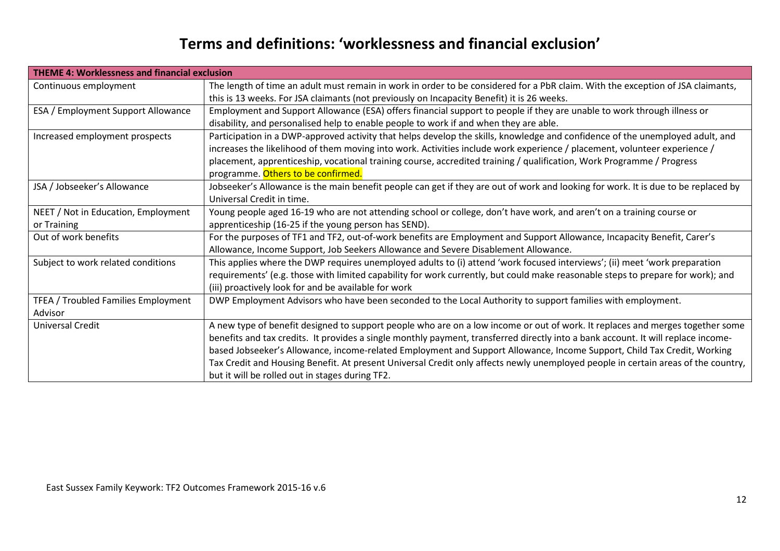#### **Terms and definitions: 'worklessness and financial exclusion'**

| <b>THEME 4: Worklessness and financial exclusion</b> |                                                                                                                                    |  |
|------------------------------------------------------|------------------------------------------------------------------------------------------------------------------------------------|--|
| Continuous employment                                | The length of time an adult must remain in work in order to be considered for a PbR claim. With the exception of JSA claimants,    |  |
|                                                      | this is 13 weeks. For JSA claimants (not previously on Incapacity Benefit) it is 26 weeks.                                         |  |
| ESA / Employment Support Allowance                   | Employment and Support Allowance (ESA) offers financial support to people if they are unable to work through illness or            |  |
|                                                      | disability, and personalised help to enable people to work if and when they are able.                                              |  |
| Increased employment prospects                       | Participation in a DWP-approved activity that helps develop the skills, knowledge and confidence of the unemployed adult, and      |  |
|                                                      | increases the likelihood of them moving into work. Activities include work experience / placement, volunteer experience /          |  |
|                                                      | placement, apprenticeship, vocational training course, accredited training / qualification, Work Programme / Progress              |  |
|                                                      | programme. Others to be confirmed.                                                                                                 |  |
| JSA / Jobseeker's Allowance                          | Jobseeker's Allowance is the main benefit people can get if they are out of work and looking for work. It is due to be replaced by |  |
|                                                      | Universal Credit in time.                                                                                                          |  |
| NEET / Not in Education, Employment                  | Young people aged 16-19 who are not attending school or college, don't have work, and aren't on a training course or               |  |
| or Training                                          | apprenticeship (16-25 if the young person has SEND).                                                                               |  |
| Out of work benefits                                 | For the purposes of TF1 and TF2, out-of-work benefits are Employment and Support Allowance, Incapacity Benefit, Carer's            |  |
|                                                      | Allowance, Income Support, Job Seekers Allowance and Severe Disablement Allowance.                                                 |  |
| Subject to work related conditions                   | This applies where the DWP requires unemployed adults to (i) attend 'work focused interviews'; (ii) meet 'work preparation         |  |
|                                                      | requirements' (e.g. those with limited capability for work currently, but could make reasonable steps to prepare for work); and    |  |
|                                                      | (iii) proactively look for and be available for work                                                                               |  |
| TFEA / Troubled Families Employment                  | DWP Employment Advisors who have been seconded to the Local Authority to support families with employment.                         |  |
| Advisor                                              |                                                                                                                                    |  |
| Universal Credit                                     | A new type of benefit designed to support people who are on a low income or out of work. It replaces and merges together some      |  |
|                                                      | benefits and tax credits. It provides a single monthly payment, transferred directly into a bank account. It will replace income-  |  |
|                                                      | based Jobseeker's Allowance, income-related Employment and Support Allowance, Income Support, Child Tax Credit, Working            |  |
|                                                      | Tax Credit and Housing Benefit. At present Universal Credit only affects newly unemployed people in certain areas of the country,  |  |
|                                                      | but it will be rolled out in stages during TF2.                                                                                    |  |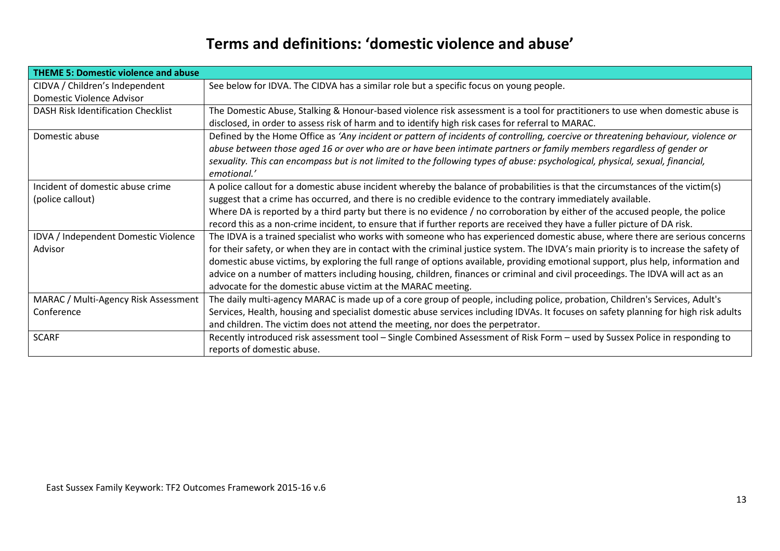#### **Terms and definitions: 'domestic violence and abuse'**

| <b>THEME 5: Domestic violence and abuse</b> |                                                                                                                                       |  |
|---------------------------------------------|---------------------------------------------------------------------------------------------------------------------------------------|--|
| CIDVA / Children's Independent              | See below for IDVA. The CIDVA has a similar role but a specific focus on young people.                                                |  |
| Domestic Violence Advisor                   |                                                                                                                                       |  |
| DASH Risk Identification Checklist          | The Domestic Abuse, Stalking & Honour-based violence risk assessment is a tool for practitioners to use when domestic abuse is        |  |
|                                             | disclosed, in order to assess risk of harm and to identify high risk cases for referral to MARAC.                                     |  |
| Domestic abuse                              | Defined by the Home Office as 'Any incident or pattern of incidents of controlling, coercive or threatening behaviour, violence or    |  |
|                                             | abuse between those aged 16 or over who are or have been intimate partners or family members regardless of gender or                  |  |
|                                             | sexuality. This can encompass but is not limited to the following types of abuse: psychological, physical, sexual, financial,         |  |
|                                             | emotional.'                                                                                                                           |  |
| Incident of domestic abuse crime            | A police callout for a domestic abuse incident whereby the balance of probabilities is that the circumstances of the victim(s)        |  |
| (police callout)                            | suggest that a crime has occurred, and there is no credible evidence to the contrary immediately available.                           |  |
|                                             | Where DA is reported by a third party but there is no evidence / no corroboration by either of the accused people, the police         |  |
|                                             | record this as a non-crime incident, to ensure that if further reports are received they have a fuller picture of DA risk.            |  |
| IDVA / Independent Domestic Violence        | The IDVA is a trained specialist who works with someone who has experienced domestic abuse, where there are serious concerns          |  |
| Advisor                                     | for their safety, or when they are in contact with the criminal justice system. The IDVA's main priority is to increase the safety of |  |
|                                             | domestic abuse victims, by exploring the full range of options available, providing emotional support, plus help, information and     |  |
|                                             | advice on a number of matters including housing, children, finances or criminal and civil proceedings. The IDVA will act as an        |  |
|                                             | advocate for the domestic abuse victim at the MARAC meeting.                                                                          |  |
| MARAC / Multi-Agency Risk Assessment        | The daily multi-agency MARAC is made up of a core group of people, including police, probation, Children's Services, Adult's          |  |
| Conference                                  | Services, Health, housing and specialist domestic abuse services including IDVAs. It focuses on safety planning for high risk adults  |  |
|                                             | and children. The victim does not attend the meeting, nor does the perpetrator.                                                       |  |
| <b>SCARF</b>                                | Recently introduced risk assessment tool - Single Combined Assessment of Risk Form - used by Sussex Police in responding to           |  |
|                                             | reports of domestic abuse.                                                                                                            |  |